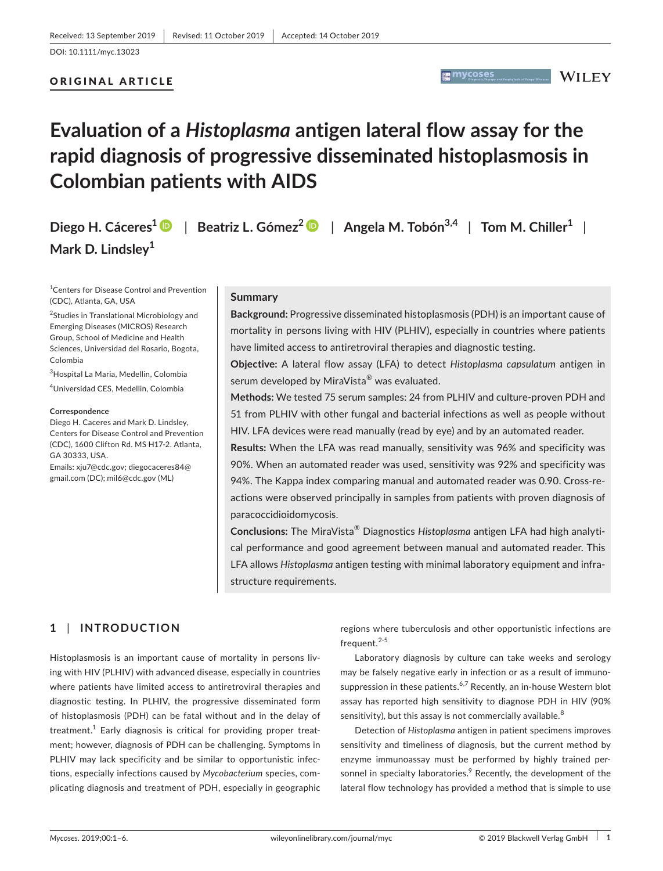# ORIGINAL ARTICLE

# **Evaluation of a** *Histoplasma* **antigen lateral flow assay for the rapid diagnosis of progressive disseminated histoplasmosis in Colombian patients with AIDS**

**Diego H. Cáceres[1](https://orcid.org/0000-0001-8749-9809)** | **Beatriz L. Gómez<sup>2</sup>** | **Angela M. Tobón3,4** | **Tom M. Chiller<sup>1</sup>** | **Mark D. Lindsley<sup>1</sup>**

<sup>1</sup> Centers for Disease Control and Prevention (CDC), Atlanta, GA, USA

<sup>2</sup>Studies in Translational Microbiology and Emerging Diseases (MICROS) Research Group, School of Medicine and Health Sciences, Universidad del Rosario, Bogota, Colombia

3 Hospital La Maria, Medellin, Colombia

4 Universidad CES, Medellin, Colombia

#### **Correspondence**

Diego H. Caceres and Mark D. Lindsley, Centers for Disease Control and Prevention (CDC), 1600 Clifton Rd. MS H17-2. Atlanta, GA 30333, USA.

Emails: [xju7@cdc.gov;](mailto:xju7@cdc.gov) [diegocaceres84@](mailto:diegocaceres84@gmail.com) [gmail.com](mailto:diegocaceres84@gmail.com) (DC); [mil6@cdc.gov](mailto:mil6@cdc.gov) (ML)

#### **Summary**

**Background:** Progressive disseminated histoplasmosis (PDH) is an important cause of mortality in persons living with HIV (PLHIV), especially in countries where patients have limited access to antiretroviral therapies and diagnostic testing.

**A mycoses** 

**WILEY** 

**Objective:** A lateral flow assay (LFA) to detect *Histoplasma capsulatum* antigen in serum developed by MiraVista® was evaluated.

**Methods:** We tested 75 serum samples: 24 from PLHIV and culture‐proven PDH and 51 from PLHIV with other fungal and bacterial infections as well as people without HIV. LFA devices were read manually (read by eye) and by an automated reader.

**Results:** When the LFA was read manually, sensitivity was 96% and specificity was 90%. When an automated reader was used, sensitivity was 92% and specificity was 94%. The Kappa index comparing manual and automated reader was 0.90. Cross-reactions were observed principally in samples from patients with proven diagnosis of paracoccidioidomycosis.

**Conclusions:** The MiraVista® Diagnostics *Histoplasma* antigen LFA had high analytical performance and good agreement between manual and automated reader. This LFA allows *Histoplasma* antigen testing with minimal laboratory equipment and infrastructure requirements.

# **1** | **INTRODUCTION**

Histoplasmosis is an important cause of mortality in persons living with HIV (PLHIV) with advanced disease, especially in countries where patients have limited access to antiretroviral therapies and diagnostic testing. In PLHIV, the progressive disseminated form of histoplasmosis (PDH) can be fatal without and in the delay of treatment. $^1$  Early diagnosis is critical for providing proper treatment; however, diagnosis of PDH can be challenging. Symptoms in PLHIV may lack specificity and be similar to opportunistic infections, especially infections caused by *Mycobacterium* species, complicating diagnosis and treatment of PDH, especially in geographic

regions where tuberculosis and other opportunistic infections are frequent.<sup>2-5</sup>

Laboratory diagnosis by culture can take weeks and serology may be falsely negative early in infection or as a result of immunosuppression in these patients.<sup>6,7</sup> Recently, an in-house Western blot assay has reported high sensitivity to diagnose PDH in HIV (90% sensitivity), but this assay is not commercially available.<sup>8</sup>

Detection of *Histoplasma* antigen in patient specimens improves sensitivity and timeliness of diagnosis, but the current method by enzyme immunoassay must be performed by highly trained personnel in specialty laboratories.<sup>9</sup> Recently, the development of the lateral flow technology has provided a method that is simple to use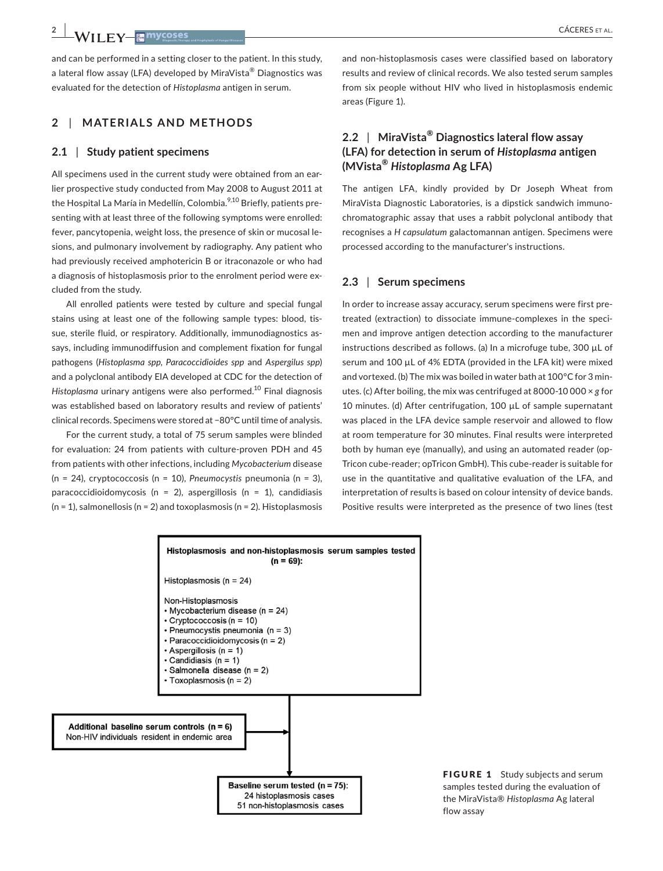and can be performed in a setting closer to the patient. In this study, a lateral flow assay (LFA) developed by MiraVista® Diagnostics was evaluated for the detection of *Histoplasma* antigen in serum.

# **2** | **MATERIALS AND METHODS**

#### **2.1** | **Study patient specimens**

All specimens used in the current study were obtained from an earlier prospective study conducted from May 2008 to August 2011 at the Hospital La María in Medellín, Colombia.<sup>9,10</sup> Briefly, patients presenting with at least three of the following symptoms were enrolled: fever, pancytopenia, weight loss, the presence of skin or mucosal lesions, and pulmonary involvement by radiography. Any patient who had previously received amphotericin B or itraconazole or who had a diagnosis of histoplasmosis prior to the enrolment period were excluded from the study.

All enrolled patients were tested by culture and special fungal stains using at least one of the following sample types: blood, tissue, sterile fluid, or respiratory. Additionally, immunodiagnostics assays, including immunodiffusion and complement fixation for fungal pathogens (*Histoplasma spp, Paracoccidioides spp* and *Aspergilus spp*) and a polyclonal antibody EIA developed at CDC for the detection of *Histoplasma* urinary antigens were also performed.10 Final diagnosis was established based on laboratory results and review of patients' clinical records. Specimens were stored at −80°C until time of analysis.

For the current study, a total of 75 serum samples were blinded for evaluation: 24 from patients with culture‐proven PDH and 45 from patients with other infections, including *Mycobacterium* disease (n = 24), cryptococcosis (n = 10), *Pneumocystis* pneumonia (n = 3), paracoccidioidomycosis (n = 2), aspergillosis (n = 1), candidiasis  $(n = 1)$ , salmonellosis  $(n = 2)$  and toxoplasmosis  $(n = 2)$ . Histoplasmosis

and non-histoplasmosis cases were classified based on laboratory results and review of clinical records. We also tested serum samples from six people without HIV who lived in histoplasmosis endemic areas (Figure 1).

# **2.2** | **MiraVista® Diagnostics lateral flow assay (LFA) for detection in serum of** *Histoplasma* **antigen (MVista®** *Histoplasma* **Ag LFA)**

The antigen LFA, kindly provided by Dr Joseph Wheat from MiraVista Diagnostic Laboratories, is a dipstick sandwich immunochromatographic assay that uses a rabbit polyclonal antibody that recognises a *H capsulatum* galactomannan antigen. Specimens were processed according to the manufacturer's instructions.

#### **2.3** | **Serum specimens**

In order to increase assay accuracy, serum specimens were first pretreated (extraction) to dissociate immune-complexes in the specimen and improve antigen detection according to the manufacturer instructions described as follows. (a) In a microfuge tube, 300 µL of serum and 100 µL of 4% EDTA (provided in the LFA kit) were mixed and vortexed. (b) The mix was boiled in water bath at 100°C for 3 minutes. (c) After boiling, the mix was centrifuged at 8000‐10 000 × *g* for 10 minutes. (d) After centrifugation, 100 µL of sample supernatant was placed in the LFA device sample reservoir and allowed to flow at room temperature for 30 minutes. Final results were interpreted both by human eye (manually), and using an automated reader (op-Tricon cube‐reader; opTricon GmbH). This cube‐reader is suitable for use in the quantitative and qualitative evaluation of the LFA, and interpretation of results is based on colour intensity of device bands. Positive results were interpreted as the presence of two lines (test



FIGURE 1 Study subjects and serum samples tested during the evaluation of the MiraVista® *Histoplasma* Ag lateral flow assay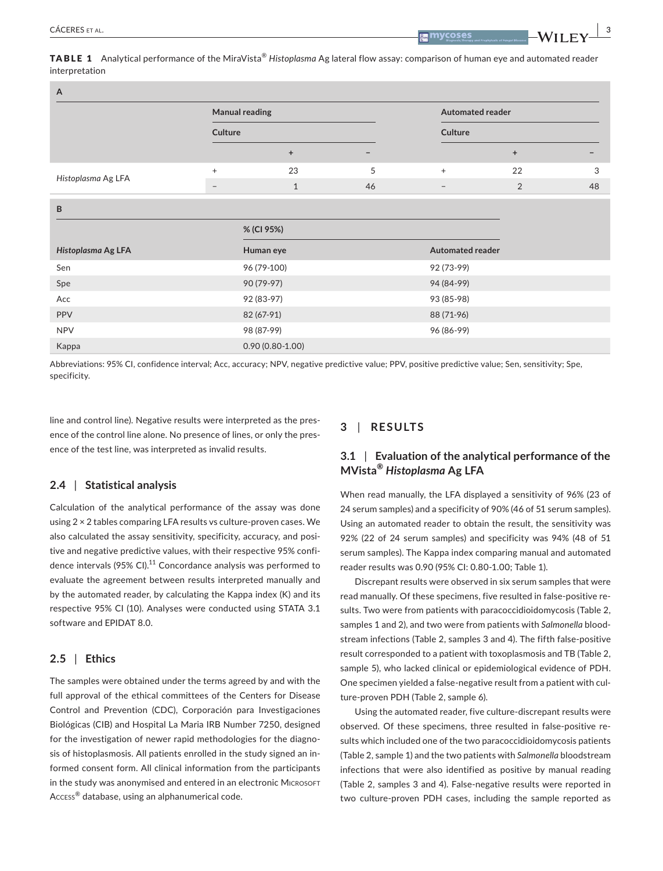**|** CÁCERES et al. **3**

TABLE 1 Analytical performance of the MiraVista® *Histoplasma* Ag lateral flow assay: comparison of human eye and automated reader interpretation

| $\overline{A}$     |                                  |                     |            |                                    |                         |    |  |
|--------------------|----------------------------------|---------------------|------------|------------------------------------|-------------------------|----|--|
|                    | <b>Manual reading</b><br>Culture |                     |            | <b>Automated reader</b><br>Culture |                         |    |  |
|                    |                                  |                     |            |                                    |                         |    |  |
|                    |                                  | $\ddot{}$           |            |                                    | $\ddot{}$               |    |  |
| Histoplasma Ag LFA | $^{+}$                           | 23                  | 5          | $\ddot{}$                          | 22                      | 3  |  |
|                    | $\overline{\phantom{m}}$         | $1\,$               | 46         | $\overline{\phantom{m}}$           | 2                       | 48 |  |
| B                  |                                  |                     |            |                                    |                         |    |  |
|                    |                                  | % (CI 95%)          |            |                                    |                         |    |  |
| Histoplasma Ag LFA |                                  | Human eye           |            |                                    | <b>Automated reader</b> |    |  |
| Sen                |                                  | 96 (79-100)         |            | 92 (73-99)                         |                         |    |  |
| Spe                |                                  | 90 (79-97)          |            | 94 (84-99)                         |                         |    |  |
| Acc                |                                  |                     | 92 (83-97) |                                    | 93 (85-98)              |    |  |
| <b>PPV</b>         | 82 (67-91)                       |                     |            |                                    | 88 (71-96)              |    |  |
| <b>NPV</b>         | 98 (87-99)                       |                     |            | 96 (86-99)                         |                         |    |  |
| Kappa              |                                  | $0.90(0.80 - 1.00)$ |            |                                    |                         |    |  |

Abbreviations: 95% CI, confidence interval; Acc, accuracy; NPV, negative predictive value; PPV, positive predictive value; Sen, sensitivity; Spe, specificity.

line and control line). Negative results were interpreted as the presence of the control line alone. No presence of lines, or only the presence of the test line, was interpreted as invalid results.

## **2.4** | **Statistical analysis**

Calculation of the analytical performance of the assay was done using 2 × 2 tables comparing LFA results vs culture‐proven cases. We also calculated the assay sensitivity, specificity, accuracy, and positive and negative predictive values, with their respective 95% confidence intervals (95% CI).<sup>11</sup> Concordance analysis was performed to evaluate the agreement between results interpreted manually and by the automated reader, by calculating the Kappa index (K) and its respective 95% CI (10). Analyses were conducted using STATA 3.1 software and EPIDAT 8.0.

#### **2.5** | **Ethics**

The samples were obtained under the terms agreed by and with the full approval of the ethical committees of the Centers for Disease Control and Prevention (CDC), Corporación para Investigaciones Biológicas (CIB) and Hospital La Maria IRB Number 7250, designed for the investigation of newer rapid methodologies for the diagnosis of histoplasmosis. All patients enrolled in the study signed an informed consent form. All clinical information from the participants in the study was anonymised and entered in an electronic MICROSOFT Access® database, using an alphanumerical code.

### **3** | **RESULTS**

# **3.1** | **Evaluation of the analytical performance of the MVista®** *Histoplasma* **Ag LFA**

When read manually, the LFA displayed a sensitivity of 96% (23 of 24 serum samples) and a specificity of 90% (46 of 51 serum samples). Using an automated reader to obtain the result, the sensitivity was 92% (22 of 24 serum samples) and specificity was 94% (48 of 51 serum samples). The Kappa index comparing manual and automated reader results was 0.90 (95% CI: 0.80-1.00; Table 1).

Discrepant results were observed in six serum samples that were read manually. Of these specimens, five resulted in false‐positive results. Two were from patients with paracoccidioidomycosis (Table 2, samples 1 and 2), and two were from patients with *Salmonella* bloodstream infections (Table 2, samples 3 and 4). The fifth false‐positive result corresponded to a patient with toxoplasmosis and TB (Table 2, sample 5), who lacked clinical or epidemiological evidence of PDH. One specimen yielded a false‐negative result from a patient with culture-proven PDH (Table 2, sample 6).

Using the automated reader, five culture‐discrepant results were observed. Of these specimens, three resulted in false‐positive results which included one of the two paracoccidioidomycosis patients (Table 2, sample 1) and the two patients with *Salmonella* bloodstream infections that were also identified as positive by manual reading (Table 2, samples 3 and 4). False‐negative results were reported in two culture-proven PDH cases, including the sample reported as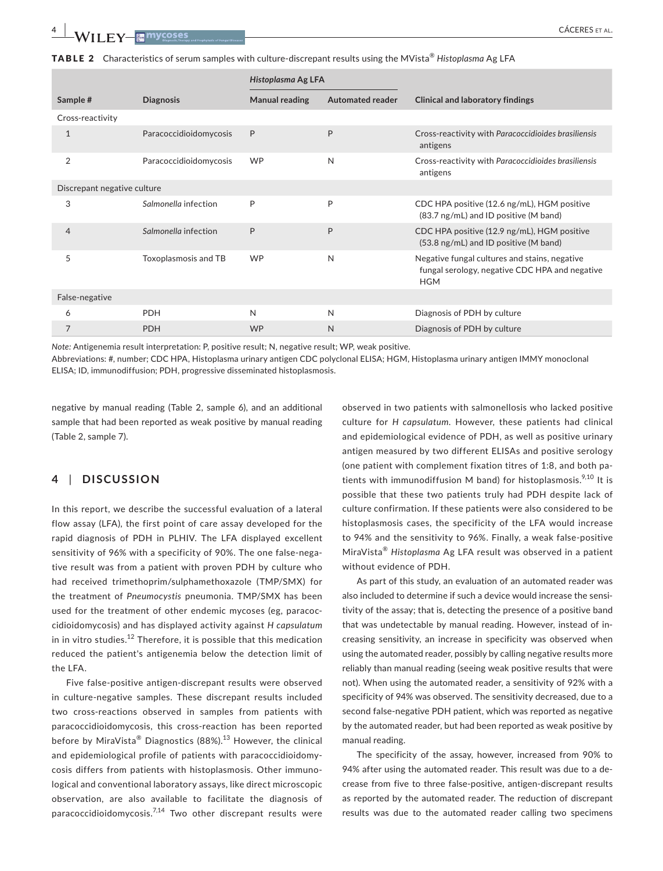TABLE 2 Characteristics of serum samples with culture-discrepant results using the MVista® *Histoplasma* Ag LFA

|                             |                        | Histoplasma Ag LFA    |                         |                                                                                                               |  |  |
|-----------------------------|------------------------|-----------------------|-------------------------|---------------------------------------------------------------------------------------------------------------|--|--|
| Sample #                    | <b>Diagnosis</b>       | <b>Manual reading</b> | <b>Automated reader</b> | <b>Clinical and laboratory findings</b>                                                                       |  |  |
| Cross-reactivity            |                        |                       |                         |                                                                                                               |  |  |
|                             | Paracoccidioidomycosis | P                     | P                       | Cross-reactivity with Paracoccidioides brasiliensis<br>antigens                                               |  |  |
| $\overline{2}$              | Paracoccidioidomycosis | <b>WP</b>             | N                       | Cross-reactivity with Paracoccidioides brasiliensis<br>antigens                                               |  |  |
| Discrepant negative culture |                        |                       |                         |                                                                                                               |  |  |
| 3                           | Salmonella infection   | P                     | P                       | CDC HPA positive (12.6 ng/mL), HGM positive<br>(83.7 ng/mL) and ID positive (M band)                          |  |  |
| $\overline{4}$              | Salmonella infection   | P                     | P                       | CDC HPA positive (12.9 ng/mL), HGM positive<br>(53.8 ng/mL) and ID positive (M band)                          |  |  |
| 5                           | Toxoplasmosis and TB   | <b>WP</b>             | N                       | Negative fungal cultures and stains, negative<br>fungal serology, negative CDC HPA and negative<br><b>HGM</b> |  |  |
| False-negative              |                        |                       |                         |                                                                                                               |  |  |
| 6                           | <b>PDH</b>             | N                     | N                       | Diagnosis of PDH by culture                                                                                   |  |  |
| $\overline{7}$              | <b>PDH</b>             | <b>WP</b>             | N                       | Diagnosis of PDH by culture                                                                                   |  |  |

*Note:* Antigenemia result interpretation: P, positive result; N, negative result; WP, weak positive.

Abbreviations: #, number; CDC HPA, Histoplasma urinary antigen CDC polyclonal ELISA; HGM, Histoplasma urinary antigen IMMY monoclonal ELISA; ID, immunodiffusion; PDH, progressive disseminated histoplasmosis.

negative by manual reading (Table 2, sample 6), and an additional sample that had been reported as weak positive by manual reading (Table 2, sample 7).

# **4** | **DISCUSSION**

In this report, we describe the successful evaluation of a lateral flow assay (LFA), the first point of care assay developed for the rapid diagnosis of PDH in PLHIV. The LFA displayed excellent sensitivity of 96% with a specificity of 90%. The one false-negative result was from a patient with proven PDH by culture who had received trimethoprim/sulphamethoxazole (TMP/SMX) for the treatment of *Pneumocystis* pneumonia. TMP/SMX has been used for the treatment of other endemic mycoses (eg, paracoccidioidomycosis) and has displayed activity against *H capsulatum* in in vitro studies.<sup>12</sup> Therefore, it is possible that this medication reduced the patient's antigenemia below the detection limit of the LFA.

Five false‐positive antigen‐discrepant results were observed in culture-negative samples. These discrepant results included two cross-reactions observed in samples from patients with paracoccidioidomycosis, this cross-reaction has been reported before by MiraVista<sup>®</sup> Diagnostics (88%).<sup>13</sup> However, the clinical and epidemiological profile of patients with paracoccidioidomycosis differs from patients with histoplasmosis. Other immunological and conventional laboratory assays, like direct microscopic observation, are also available to facilitate the diagnosis of paracoccidioidomycosis.<sup>7,14</sup> Two other discrepant results were observed in two patients with salmonellosis who lacked positive culture for *H capsulatum*. However, these patients had clinical and epidemiological evidence of PDH, as well as positive urinary antigen measured by two different ELISAs and positive serology (one patient with complement fixation titres of 1:8, and both patients with immunodiffusion M band) for histoplasmosis.<sup>9,10</sup> It is possible that these two patients truly had PDH despite lack of culture confirmation. If these patients were also considered to be histoplasmosis cases, the specificity of the LFA would increase to 94% and the sensitivity to 96%. Finally, a weak false‐positive MiraVista® *Histoplasma* Ag LFA result was observed in a patient without evidence of PDH.

As part of this study, an evaluation of an automated reader was also included to determine if such a device would increase the sensitivity of the assay; that is, detecting the presence of a positive band that was undetectable by manual reading. However, instead of increasing sensitivity, an increase in specificity was observed when using the automated reader, possibly by calling negative results more reliably than manual reading (seeing weak positive results that were not). When using the automated reader, a sensitivity of 92% with a specificity of 94% was observed. The sensitivity decreased, due to a second false-negative PDH patient, which was reported as negative by the automated reader, but had been reported as weak positive by manual reading.

The specificity of the assay, however, increased from 90% to 94% after using the automated reader. This result was due to a decrease from five to three false-positive, antigen-discrepant results as reported by the automated reader. The reduction of discrepant results was due to the automated reader calling two specimens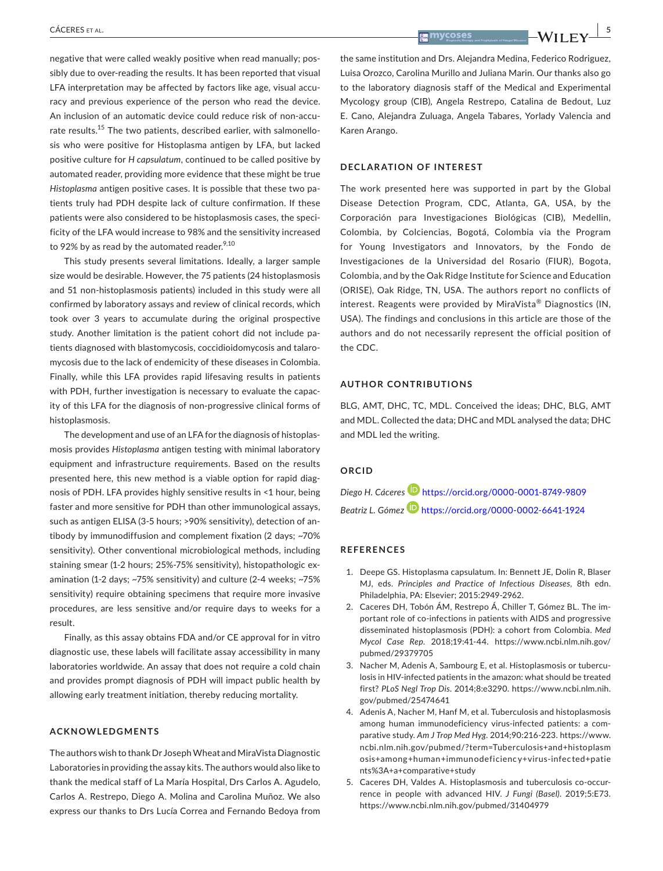negative that were called weakly positive when read manually; possibly due to over-reading the results. It has been reported that visual LFA interpretation may be affected by factors like age, visual accuracy and previous experience of the person who read the device. An inclusion of an automatic device could reduce risk of non‐accurate results.15 The two patients, described earlier, with salmonellosis who were positive for Histoplasma antigen by LFA, but lacked positive culture for *H capsulatum*, continued to be called positive by automated reader, providing more evidence that these might be true *Histoplasma* antigen positive cases. It is possible that these two patients truly had PDH despite lack of culture confirmation. If these patients were also considered to be histoplasmosis cases, the specificity of the LFA would increase to 98% and the sensitivity increased to 92% by as read by the automated reader. $9,10$ 

This study presents several limitations. Ideally, a larger sample size would be desirable. However, the 75 patients (24 histoplasmosis and 51 non-histoplasmosis patients) included in this study were all confirmed by laboratory assays and review of clinical records, which took over 3 years to accumulate during the original prospective study. Another limitation is the patient cohort did not include patients diagnosed with blastomycosis, coccidioidomycosis and talaromycosis due to the lack of endemicity of these diseases in Colombia. Finally, while this LFA provides rapid lifesaving results in patients with PDH, further investigation is necessary to evaluate the capacity of this LFA for the diagnosis of non‐progressive clinical forms of histoplasmosis.

The development and use of an LFA for the diagnosis of histoplasmosis provides *Histoplasma* antigen testing with minimal laboratory equipment and infrastructure requirements. Based on the results presented here, this new method is a viable option for rapid diagnosis of PDH. LFA provides highly sensitive results in <1 hour, being faster and more sensitive for PDH than other immunological assays, such as antigen ELISA (3‐5 hours; >90% sensitivity), detection of antibody by immunodiffusion and complement fixation (2 days; ~70% sensitivity). Other conventional microbiological methods, including staining smear (1-2 hours; 25%-75% sensitivity), histopathologic examination (1‐2 days; ~75% sensitivity) and culture (2‐4 weeks; ~75% sensitivity) require obtaining specimens that require more invasive procedures, are less sensitive and/or require days to weeks for a result.

Finally, as this assay obtains FDA and/or CE approval for in vitro diagnostic use, these labels will facilitate assay accessibility in many laboratories worldwide. An assay that does not require a cold chain and provides prompt diagnosis of PDH will impact public health by allowing early treatment initiation, thereby reducing mortality.

#### **ACKNOWLEDGMENTS**

The authors wish to thank Dr JosephWheat and MiraVista Diagnostic Laboratories in providing the assay kits. The authors would also like to thank the medical staff of La María Hospital, Drs Carlos A. Agudelo, Carlos A. Restrepo, Diego A. Molina and Carolina Muñoz. We also express our thanks to Drs Lucía Correa and Fernando Bedoya from

 **|** CÁCERES et al. **5**

the same institution and Drs. Alejandra Medina, Federico Rodriguez, Luisa Orozco, Carolina Murillo and Juliana Marin. Our thanks also go to the laboratory diagnosis staff of the Medical and Experimental Mycology group (CIB), Angela Restrepo, Catalina de Bedout, Luz E. Cano, Alejandra Zuluaga, Angela Tabares, Yorlady Valencia and Karen Arango.

## **DECLARATION OF INTEREST**

The work presented here was supported in part by the Global Disease Detection Program, CDC, Atlanta, GA, USA, by the Corporación para Investigaciones Biológicas (CIB), Medellin, Colombia, by Colciencias, Bogotá, Colombia via the Program for Young Investigators and Innovators, by the Fondo de Investigaciones de la Universidad del Rosario (FIUR), Bogota, Colombia, and by the Oak Ridge Institute for Science and Education (ORISE), Oak Ridge, TN, USA. The authors report no conflicts of interest. Reagents were provided by MiraVista® Diagnostics (IN, USA). The findings and conclusions in this article are those of the authors and do not necessarily represent the official position of the CDC.

#### **AUTHOR CONTRIBUTIONS**

BLG, AMT, DHC, TC, MDL. Conceived the ideas; DHC, BLG, AMT and MDL. Collected the data; DHC and MDL analysed the data; DHC and MDL led the writing.

### **ORCID**

*Diego H. Cáceres* <https://orcid.org/0000-0001-8749-9809> *Beatriz L. Gómez* <https://orcid.org/0000-0002-6641-1924>

#### **REFERENCES**

- 1. Deepe GS. Histoplasma capsulatum. In: Bennett JE, Dolin R, Blaser MJ, eds. *Principles and Practice of Infectious Diseases*, 8th edn. Philadelphia, PA: Elsevier; 2015:2949‐2962.
- 2. Caceres DH, Tobón ÁM, Restrepo Á, Chiller T, Gómez BL. The important role of co-infections in patients with AIDS and progressive disseminated histoplasmosis (PDH): a cohort from Colombia. *Med Mycol Case Rep*. 2018;19:41‐44. [https://www.ncbi.nlm.nih.gov/](https://www.ncbi.nlm.nih.gov/pubmed/29379705) [pubmed/29379705](https://www.ncbi.nlm.nih.gov/pubmed/29379705)
- 3. Nacher M, Adenis A, Sambourg E, et al. Histoplasmosis or tuberculosis in HIV-infected patients in the amazon: what should be treated first? *PLoS Negl Trop Dis*. 2014;8:e3290. [https://www.ncbi.nlm.nih.](https://www.ncbi.nlm.nih.gov/pubmed/25474641) [gov/pubmed/25474641](https://www.ncbi.nlm.nih.gov/pubmed/25474641)
- 4. Adenis A, Nacher M, Hanf M, et al. Tuberculosis and histoplasmosis among human immunodeficiency virus-infected patients: a comparative study. *Am J Trop Med Hyg*. 2014;90:216‐223. [https://www.](https://www.ncbi.nlm.nih.gov/pubmed/?term=Tuberculosis+and+histoplasmosis+among+human+immunodeficiency+virus-infected+patients%3A+a+comparative+study) [ncbi.nlm.nih.gov/pubmed/?term=Tuberculosis+and+histoplasm](https://www.ncbi.nlm.nih.gov/pubmed/?term=Tuberculosis+and+histoplasmosis+among+human+immunodeficiency+virus-infected+patients%3A+a+comparative+study) [osis+among+human+immunodeficiency+virus-infec](https://www.ncbi.nlm.nih.gov/pubmed/?term=Tuberculosis+and+histoplasmosis+among+human+immunodeficiency+virus-infected+patients%3A+a+comparative+study) ted+patie [nts%3A+a+comparative+study](https://www.ncbi.nlm.nih.gov/pubmed/?term=Tuberculosis+and+histoplasmosis+among+human+immunodeficiency+virus-infected+patients%3A+a+comparative+study)
- 5. Caceres DH, Valdes A. Histoplasmosis and tuberculosis co-occurrence in people with advanced HIV. *J Fungi (Basel)*. 2019;5:E73. <https://www.ncbi.nlm.nih.gov/pubmed/31404979>